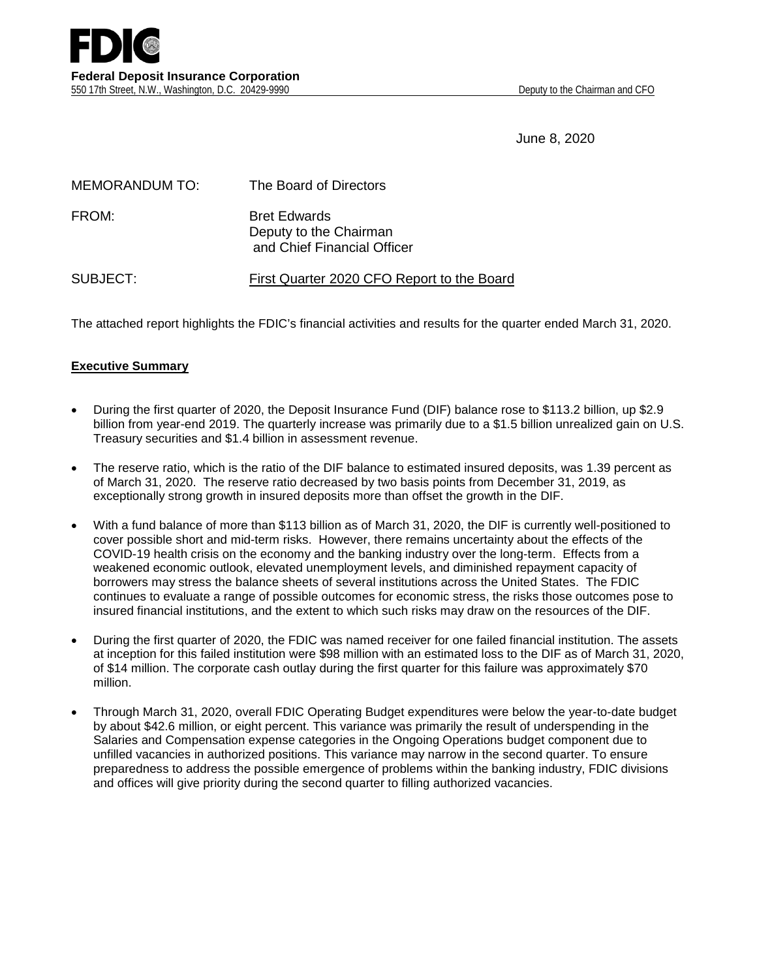June 8, 2020

| <b>MEMORANDUM TO:</b> | The Board of Directors                                                       |
|-----------------------|------------------------------------------------------------------------------|
| FROM:                 | <b>Bret Edwards</b><br>Deputy to the Chairman<br>and Chief Financial Officer |
| SUBJECT:              | First Quarter 2020 CFO Report to the Board                                   |

The attached report highlights the FDIC's financial activities and results for the quarter ended March 31, 2020.

## **Executive Summary**

- During the first quarter of 2020, the Deposit Insurance Fund (DIF) balance rose to \$113.2 billion, up \$2.9 billion from year-end 2019. The quarterly increase was primarily due to a \$1.5 billion unrealized gain on U.S. Treasury securities and \$1.4 billion in assessment revenue.
- The reserve ratio, which is the ratio of the DIF balance to estimated insured deposits, was 1.39 percent as of March 31, 2020. The reserve ratio decreased by two basis points from December 31, 2019, as exceptionally strong growth in insured deposits more than offset the growth in the DIF.
- With a fund balance of more than \$113 billion as of March 31, 2020, the DIF is currently well-positioned to cover possible short and mid-term risks. However, there remains uncertainty about the effects of the COVID-19 health crisis on the economy and the banking industry over the long-term. Effects from a weakened economic outlook, elevated unemployment levels, and diminished repayment capacity of borrowers may stress the balance sheets of several institutions across the United States. The FDIC continues to evaluate a range of possible outcomes for economic stress, the risks those outcomes pose to insured financial institutions, and the extent to which such risks may draw on the resources of the DIF.
- During the first quarter of 2020, the FDIC was named receiver for one failed financial institution. The assets at inception for this failed institution were \$98 million with an estimated loss to the DIF as of March 31, 2020, of \$14 million. The corporate cash outlay during the first quarter for this failure was approximately \$70 million.
- Through March 31, 2020, overall FDIC Operating Budget expenditures were below the year-to-date budget by about \$42.6 million, or eight percent. This variance was primarily the result of underspending in the Salaries and Compensation expense categories in the Ongoing Operations budget component due to unfilled vacancies in authorized positions. This variance may narrow in the second quarter. To ensure preparedness to address the possible emergence of problems within the banking industry, FDIC divisions and offices will give priority during the second quarter to filling authorized vacancies.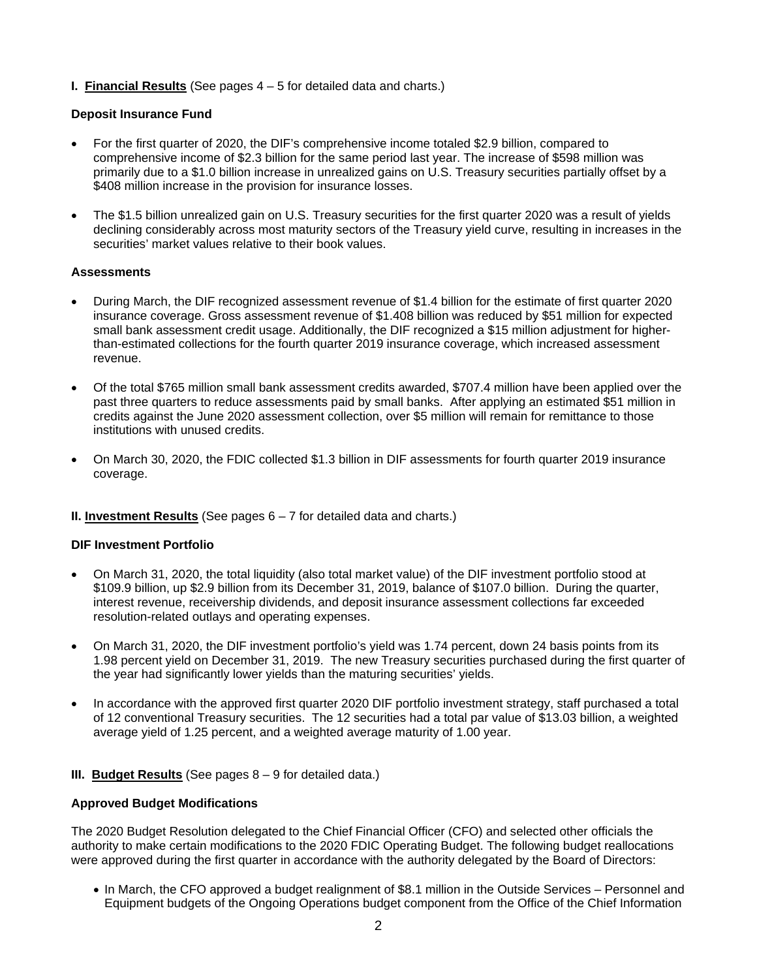**I. Financial Results** (See pages 4 – 5 for detailed data and charts.)

## **Deposit Insurance Fund**

- For the first quarter of 2020, the DIF's comprehensive income totaled \$2.9 billion, compared to comprehensive income of \$2.3 billion for the same period last year. The increase of \$598 million was primarily due to a \$1.0 billion increase in unrealized gains on U.S. Treasury securities partially offset by a \$408 million increase in the provision for insurance losses.
- The \$1.5 billion unrealized gain on U.S. Treasury securities for the first quarter 2020 was a result of yields declining considerably across most maturity sectors of the Treasury yield curve, resulting in increases in the securities' market values relative to their book values.

## **Assessments**

- During March, the DIF recognized assessment revenue of \$1.4 billion for the estimate of first quarter 2020 insurance coverage. Gross assessment revenue of \$1.408 billion was reduced by \$51 million for expected small bank assessment credit usage. Additionally, the DIF recognized a \$15 million adjustment for higherthan-estimated collections for the fourth quarter 2019 insurance coverage, which increased assessment revenue.
- Of the total \$765 million small bank assessment credits awarded, \$707.4 million have been applied over the past three quarters to reduce assessments paid by small banks. After applying an estimated \$51 million in credits against the June 2020 assessment collection, over \$5 million will remain for remittance to those institutions with unused credits.
- On March 30, 2020, the FDIC collected \$1.3 billion in DIF assessments for fourth quarter 2019 insurance coverage.

# **II. Investment Results** (See pages 6 – 7 for detailed data and charts.)

## **DIF Investment Portfolio**

- On March 31, 2020, the total liquidity (also total market value) of the DIF investment portfolio stood at \$109.9 billion, up \$2.9 billion from its December 31, 2019, balance of \$107.0 billion. During the quarter, interest revenue, receivership dividends, and deposit insurance assessment collections far exceeded resolution-related outlays and operating expenses.
- On March 31, 2020, the DIF investment portfolio's yield was 1.74 percent, down 24 basis points from its 1.98 percent yield on December 31, 2019. The new Treasury securities purchased during the first quarter of the year had significantly lower yields than the maturing securities' yields.
- In accordance with the approved first quarter 2020 DIF portfolio investment strategy, staff purchased a total of 12 conventional Treasury securities. The 12 securities had a total par value of \$13.03 billion, a weighted average yield of 1.25 percent, and a weighted average maturity of 1.00 year.

## **III. Budget Results** (See pages 8 – 9 for detailed data.)

## **Approved Budget Modifications**

The 2020 Budget Resolution delegated to the Chief Financial Officer (CFO) and selected other officials the authority to make certain modifications to the 2020 FDIC Operating Budget. The following budget reallocations were approved during the first quarter in accordance with the authority delegated by the Board of Directors:

• In March, the CFO approved a budget realignment of \$8.1 million in the Outside Services – Personnel and Equipment budgets of the Ongoing Operations budget component from the Office of the Chief Information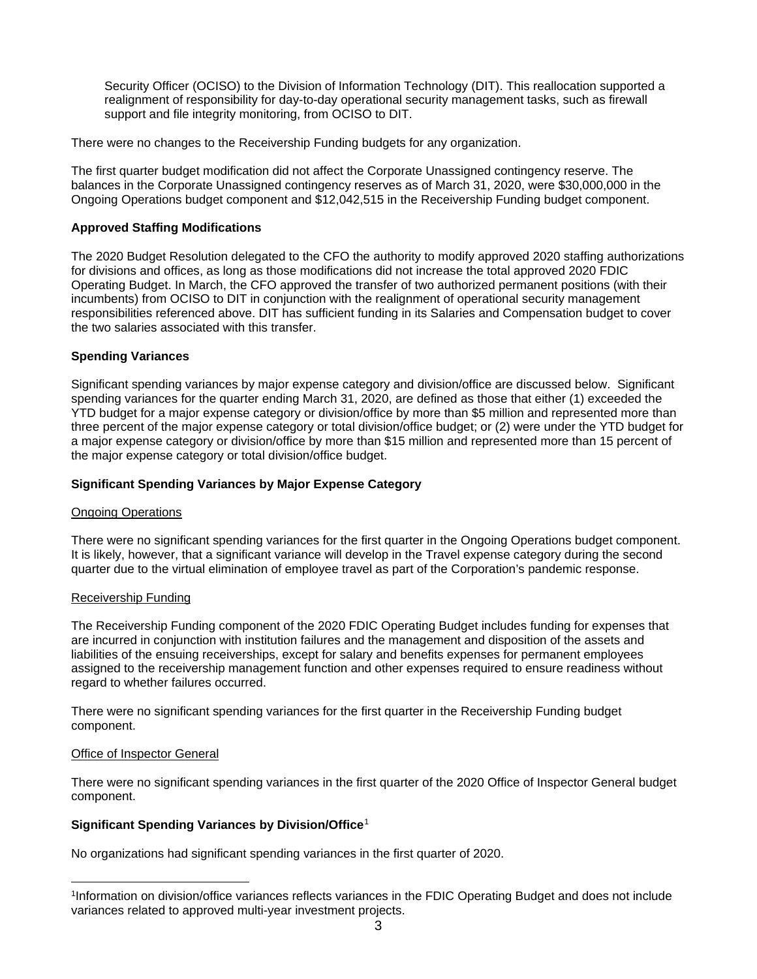Security Officer (OCISO) to the Division of Information Technology (DIT). This reallocation supported a realignment of responsibility for day-to-day operational security management tasks, such as firewall support and file integrity monitoring, from OCISO to DIT.

There were no changes to the Receivership Funding budgets for any organization.

The first quarter budget modification did not affect the Corporate Unassigned contingency reserve. The balances in the Corporate Unassigned contingency reserves as of March 31, 2020, were \$30,000,000 in the Ongoing Operations budget component and \$12,042,515 in the Receivership Funding budget component.

### **Approved Staffing Modifications**

The 2020 Budget Resolution delegated to the CFO the authority to modify approved 2020 staffing authorizations for divisions and offices, as long as those modifications did not increase the total approved 2020 FDIC Operating Budget. In March, the CFO approved the transfer of two authorized permanent positions (with their incumbents) from OCISO to DIT in conjunction with the realignment of operational security management responsibilities referenced above. DIT has sufficient funding in its Salaries and Compensation budget to cover the two salaries associated with this transfer.

### **Spending Variances**

Significant spending variances by major expense category and division/office are discussed below. Significant spending variances for the quarter ending March 31, 2020, are defined as those that either (1) exceeded the YTD budget for a major expense category or division/office by more than \$5 million and represented more than three percent of the major expense category or total division/office budget; or (2) were under the YTD budget for a major expense category or division/office by more than \$15 million and represented more than 15 percent of the major expense category or total division/office budget.

### **Significant Spending Variances by Major Expense Category**

### Ongoing Operations

There were no significant spending variances for the first quarter in the Ongoing Operations budget component. It is likely, however, that a significant variance will develop in the Travel expense category during the second quarter due to the virtual elimination of employee travel as part of the Corporation's pandemic response.

### Receivership Funding

The Receivership Funding component of the 2020 FDIC Operating Budget includes funding for expenses that are incurred in conjunction with institution failures and the management and disposition of the assets and liabilities of the ensuing receiverships, except for salary and benefits expenses for permanent employees assigned to the receivership management function and other expenses required to ensure readiness without regard to whether failures occurred.

There were no significant spending variances for the first quarter in the Receivership Funding budget component.

### Office of Inspector General

 $\overline{a}$ 

There were no significant spending variances in the first quarter of the 2020 Office of Inspector General budget component.

## **Significant Spending Variances by Division/Office**[1](#page-2-0)

No organizations had significant spending variances in the first quarter of 2020.

<span id="page-2-0"></span><sup>1</sup>Information on division/office variances reflects variances in the FDIC Operating Budget and does not include variances related to approved multi-year investment projects.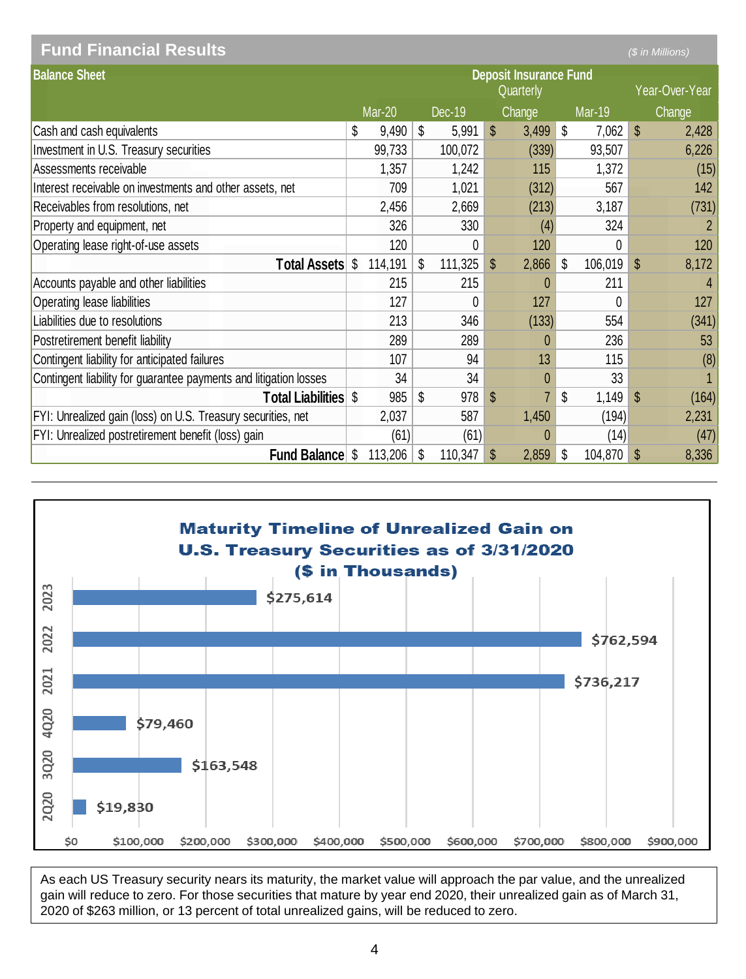| <b>Fund Financial Results</b>                                     |                                            |    |               |    |         |    |               |                |               |              | (\$ in Millions) |
|-------------------------------------------------------------------|--------------------------------------------|----|---------------|----|---------|----|---------------|----------------|---------------|--------------|------------------|
| <b>Balance Sheet</b>                                              | <b>Deposit Insurance Fund</b><br>Quarterly |    |               |    |         |    |               | Year-Over-Year |               |              |                  |
|                                                                   |                                            |    | <b>Mar-20</b> |    | Dec-19  |    | <b>Change</b> |                | <b>Mar-19</b> |              | Change           |
| Cash and cash equivalents                                         |                                            | \$ | 9,490         | \$ | 5,991   | \$ | 3,499         | \$             | 7,062         | $\mathbb{S}$ | 2,428            |
| Investment in U.S. Treasury securities                            |                                            |    | 99,733        |    | 100,072 |    | (339)         |                | 93,507        |              | 6,226            |
| Assessments receivable                                            |                                            |    | 1,357         |    | 1,242   |    | 115           |                | 1,372         |              | (15)             |
| Interest receivable on investments and other assets, net          |                                            |    | 709           |    | 1,021   |    | (312)         |                | 567           |              | 142              |
| Receivables from resolutions, net                                 |                                            |    | 2,456         |    | 2,669   |    | (213)         |                | 3,187         |              | (731)            |
| Property and equipment, net                                       |                                            |    | 326           |    | 330     |    | (4)           |                | 324           |              |                  |
| Operating lease right-of-use assets                               |                                            |    | 120           |    | 0       |    | 120           |                | 0             |              | 120              |
|                                                                   | <b>Total Assets</b>                        | \$ | 114,191       | \$ | 111,325 | \$ | 2,866         | \$             | 106,019       | $\mathbb{S}$ | 8,172            |
| Accounts payable and other liabilities                            |                                            |    | 215           |    | 215     |    | 0             |                | 211           |              | Δ                |
| Operating lease liabilities                                       |                                            |    | 127           |    | 0       |    | 127           |                | 0             |              | 127              |
| Liabilities due to resolutions                                    |                                            |    | 213           |    | 346     |    | (133)         |                | 554           |              | (341)            |
| Postretirement benefit liability                                  |                                            |    | 289           |    | 289     |    | 0             |                | 236           |              | 53               |
| Contingent liability for anticipated failures                     |                                            |    | 107           |    | 94      |    | 13            |                | 115           |              | (8)              |
| Contingent liability for guarantee payments and litigation losses |                                            |    | 34            |    | 34      |    | 0             |                | 33            |              |                  |
|                                                                   | <b>Total Liabilities \$</b>                |    | 985           | \$ | 978     | \$ | 7             | \$             | 1,149         | $\mathbb{S}$ | (164)            |
| FYI: Unrealized gain (loss) on U.S. Treasury securities, net      |                                            |    | 2,037         |    | 587     |    | 1,450         |                | (194)         |              | 2,231            |
| FYI: Unrealized postretirement benefit (loss) gain                |                                            |    | (61)          |    | (61)    |    | 0             |                | (14)          |              | (47)             |
|                                                                   | <b>Fund Balance</b>                        | S  | 113,206       | \$ | 110,347 | \$ | 2,859         | \$             | 104,870       | \$           | 8,336            |



As each US Treasury security nears its maturity, the market value will approach the par value, and the unrealized gain will reduce to zero. For those securities that mature by year end 2020, their unrealized gain as of March 31, 2020 of \$263 million, or 13 percent of total unrealized gains, will be reduced to zero.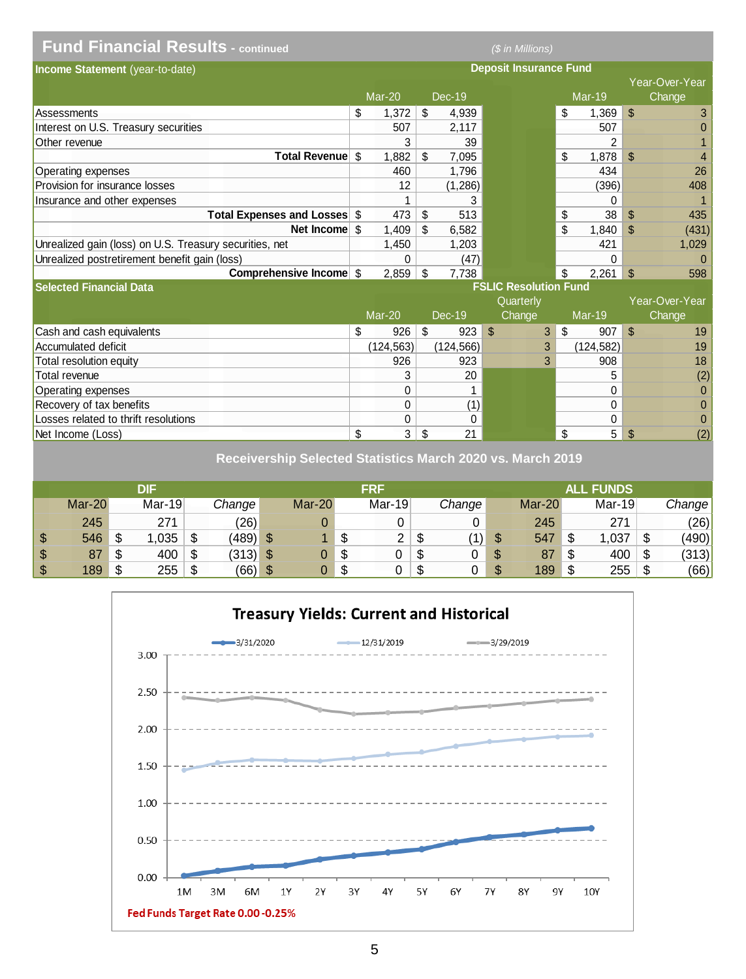| <b>Fund Financial Results - continued</b>               |                           |                              |               | (\$ in Millions) |            |                |                               |   |                     |               |                |
|---------------------------------------------------------|---------------------------|------------------------------|---------------|------------------|------------|----------------|-------------------------------|---|---------------------|---------------|----------------|
| Income Statement (year-to-date)                         |                           |                              |               |                  |            |                | <b>Deposit Insurance Fund</b> |   |                     |               |                |
|                                                         |                           |                              |               |                  |            |                |                               |   |                     |               | Year-Over-Year |
|                                                         |                           |                              | <b>Mar-20</b> |                  | Dec-19     |                |                               |   | $Mar-19$            |               | Change         |
| Assessments                                             |                           | \$                           | 1,372         | \$               | 4,939      |                |                               |   | \$<br>1.369         | \$            | 3              |
| Interest on U.S. Treasury securities                    |                           |                              | 507           |                  | 2.117      |                |                               |   | 507                 |               | $\Omega$       |
| Other revenue                                           |                           |                              | 3             |                  | 39         |                |                               |   | 2                   |               |                |
|                                                         | <b>Total Revenue</b>      | \$                           | 1,882         | \$               | 7,095      |                |                               |   | \$<br>1,878         | \$            | 4              |
| Operating expenses                                      |                           |                              | 460           |                  | 1,796      |                |                               |   | 434                 |               | 26             |
| Provision for insurance losses                          |                           |                              | 12            |                  | (1,286)    |                |                               |   | (396)               |               | 408            |
| Insurance and other expenses                            |                           |                              |               |                  | 3          |                |                               |   | 0                   |               |                |
|                                                         | Total Expenses and Losses | \$                           | 473           | \$               | 513        |                |                               |   | \$<br>38            | \$            | 435            |
|                                                         | Net Income                | \$                           | 1.409         | \$               | 6.582      |                |                               |   | \$<br>1.840         | $\mathbf{\$}$ | (431)          |
| Unrealized gain (loss) on U.S. Treasury securities, net |                           |                              | 1,450         |                  | 1,203      |                |                               |   | 421                 |               | 1,029          |
| Unrealized postretirement benefit gain (loss)           |                           |                              | 0             |                  | (47)       |                |                               |   | 0                   |               | $\Omega$       |
|                                                         | Comprehensive Income \$   |                              | 2,859         | \$               | 7,738      |                |                               |   | 2,261<br>\$         | \$            | 598            |
| <b>Selected Financial Data</b>                          |                           | <b>FSLIC Resolution Fund</b> |               |                  |            |                |                               |   |                     |               |                |
|                                                         |                           |                              |               |                  |            |                | Quarterly                     |   |                     |               | Year-Over-Year |
|                                                         |                           |                              | Mar-20        |                  | Dec-19     |                | Change                        |   | Mar-19              |               | Change         |
| Cash and cash equivalents                               |                           | \$                           | 926           | \$               | 923        | $\mathfrak{L}$ |                               | 3 | $\mathbb{S}$<br>907 | $\mathbb{S}$  | 19             |
| <b>Accumulated deficit</b>                              |                           |                              | (124, 563)    |                  | (124, 566) |                |                               | 3 | (124, 582)          |               | 19             |
| Total resolution equity                                 |                           |                              | 926           |                  | 923        |                |                               | 3 | 908                 |               | 18             |
| Total revenue                                           |                           |                              | 3             |                  | 20         |                |                               |   | 5                   |               | (2)            |
| Operating expenses                                      |                           |                              | 0             |                  |            |                |                               |   | 0                   |               | $\Omega$       |
| Recovery of tax benefits                                |                           |                              | 0             |                  | (1)        |                |                               |   | 0                   |               | $\mathbf{0}$   |
| Losses related to thrift resolutions                    |                           |                              | 0             |                  | 0          |                |                               |   | 0                   |               | $\overline{0}$ |
| Net Income (Loss)                                       |                           | \$                           | 3             | \$               | 21         |                |                               |   | 5<br>\$             | \$            | (2)            |

**Receivership Selected Statistics March 2020 vs. March 2019**

|                         |          |    | DIF    |    |            |          | FRF                 |   |        |   |        |    | <b>ALL FUNDS</b> |    |        |
|-------------------------|----------|----|--------|----|------------|----------|---------------------|---|--------|---|--------|----|------------------|----|--------|
|                         | $Mar-20$ |    | Mar-19 |    | Change     | $Mar-20$ | $Mar-19$            |   | Change |   | Mar-20 |    | Mar-19           |    | Change |
|                         | 245      |    | 271    |    | (26)       |          |                     |   |        |   | 245    |    | 271              |    | (26)   |
| $\sqrt[6]{3}$           | 546      | \$ | ,035   | \$ | (489)      |          | \$<br>2<br><u>_</u> | S | (1)    |   | 547    | ۰D | ,037             | ъ  | (490)  |
| $\sqrt[6]{3}$           | 87       | S  | 400    | \$ | $(313)$ \$ |          | \$<br>U             | S |        | S | 87     | \$ | 400              |    | (313)  |
| $\sqrt[6]{\frac{1}{2}}$ | 189      | \$ | 255    | -S | (66)       | \$       | \$<br>n.            | S |        |   | 189    | \$ | 255              | \$ | (66)   |

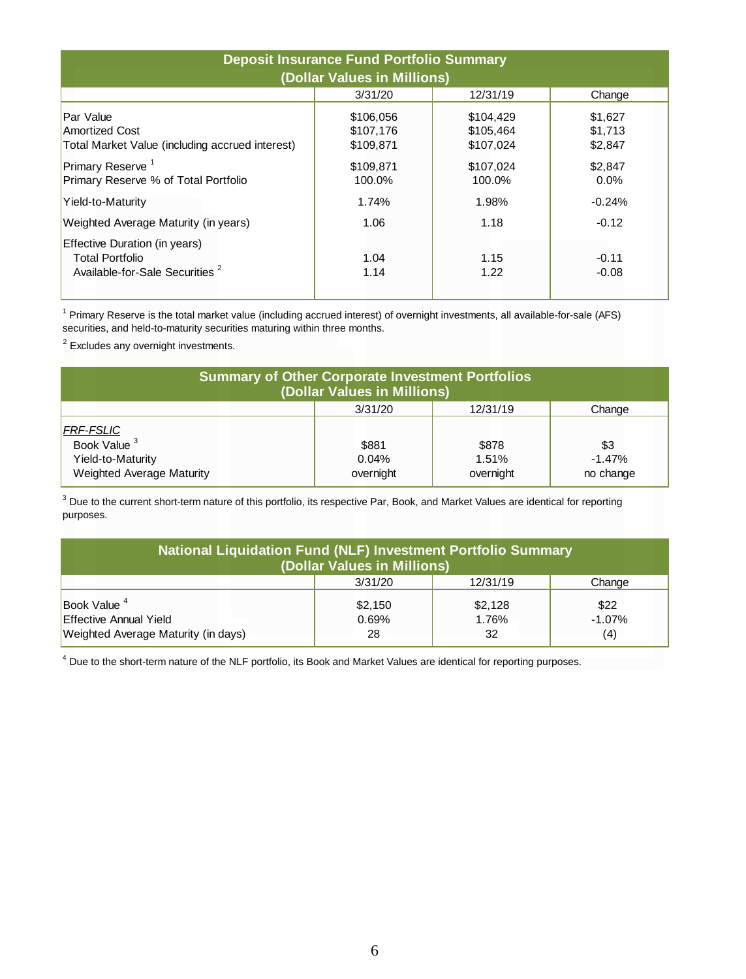| <b>Deposit Insurance Fund Portfolio Summary</b><br>(Dollar Values in Millions)                        |                                     |                                     |                               |  |  |  |  |  |  |
|-------------------------------------------------------------------------------------------------------|-------------------------------------|-------------------------------------|-------------------------------|--|--|--|--|--|--|
|                                                                                                       | 3/31/20                             | 12/31/19                            | Change                        |  |  |  |  |  |  |
| Par Value<br><b>Amortized Cost</b><br>Total Market Value (including accrued interest)                 | \$106,056<br>\$107,176<br>\$109,871 | \$104,429<br>\$105,464<br>\$107,024 | \$1,627<br>\$1,713<br>\$2,847 |  |  |  |  |  |  |
| Primary Reserve <sup>1</sup><br>Primary Reserve % of Total Portfolio                                  | \$109,871<br>100.0%                 | \$107.024<br>100.0%                 | \$2.847<br>$0.0\%$            |  |  |  |  |  |  |
| Yield-to-Maturity                                                                                     | 1.74%                               | 1.98%                               | $-0.24%$                      |  |  |  |  |  |  |
| Weighted Average Maturity (in years)                                                                  | 1.06                                | 1.18                                | $-0.12$                       |  |  |  |  |  |  |
| Effective Duration (in years)<br><b>Total Portfolio</b><br>Available-for-Sale Securities <sup>2</sup> | 1.04<br>1.14                        | 1.15<br>1.22                        | $-0.11$<br>$-0.08$            |  |  |  |  |  |  |

<sup>1</sup> Primary Reserve is the total market value (including accrued interest) of overnight investments, all available-for-sale (AFS) securities, and held-to-maturity securities maturing within three months.

<sup>2</sup> Excludes any overnight investments.

| <b>Summary of Other Corporate Investment Portfolios</b><br>(Dollar Values in Millions)        |                             |                             |                              |  |  |  |  |  |  |  |
|-----------------------------------------------------------------------------------------------|-----------------------------|-----------------------------|------------------------------|--|--|--|--|--|--|--|
|                                                                                               | 3/31/20                     | 12/31/19                    | Change                       |  |  |  |  |  |  |  |
| <b>FRF-FSLIC</b><br>Book Value <sup>3</sup><br>Yield-to-Maturity<br>Weighted Average Maturity | \$881<br>0.04%<br>overnight | \$878<br>1.51%<br>overnight | \$3<br>$-1.47%$<br>no change |  |  |  |  |  |  |  |

 $3$  Due to the current short-term nature of this portfolio, its respective Par, Book, and Market Values are identical for reporting purposes.

| National Liquidation Fund (NLF) Investment Portfolio Summary<br>(Dollar Values in Millions)     |                        |                        |                         |  |  |  |  |  |  |  |
|-------------------------------------------------------------------------------------------------|------------------------|------------------------|-------------------------|--|--|--|--|--|--|--|
|                                                                                                 | 3/31/20                | 12/31/19               | Change                  |  |  |  |  |  |  |  |
| Book Value <sup>4</sup><br><b>Effective Annual Yield</b><br>Weighted Average Maturity (in days) | \$2,150<br>0.69%<br>28 | \$2,128<br>1.76%<br>32 | \$22<br>$-1.07%$<br>(4) |  |  |  |  |  |  |  |

<sup>4</sup> Due to the short-term nature of the NLF portfolio, its Book and Market Values are identical for reporting purposes.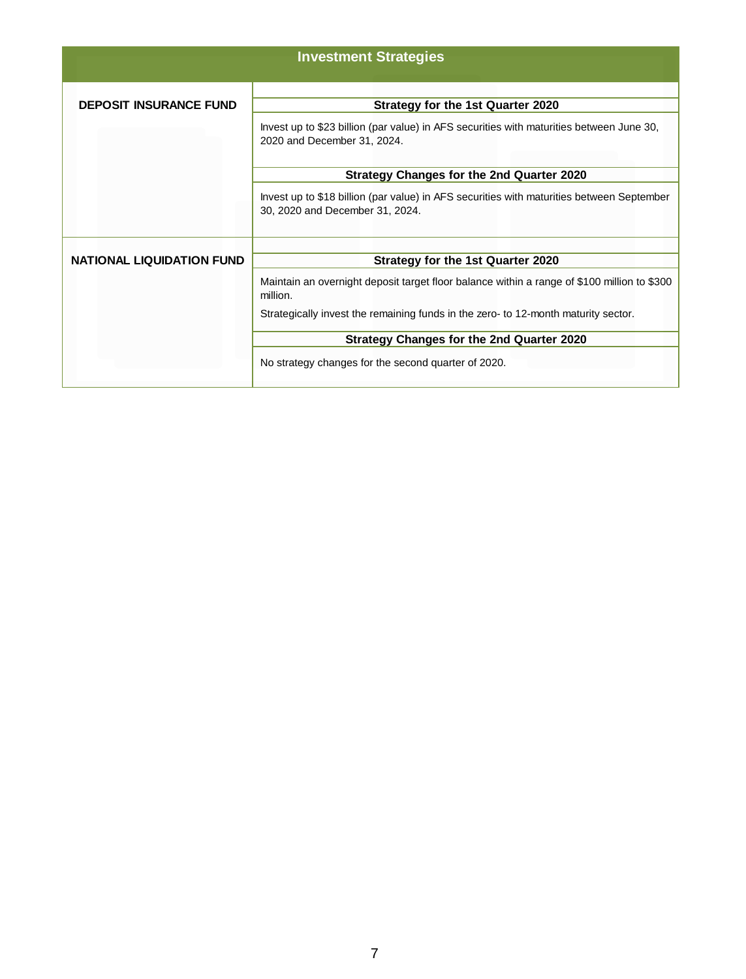|                                  | <b>Investment Strategies</b>                                                                                                                                 |
|----------------------------------|--------------------------------------------------------------------------------------------------------------------------------------------------------------|
| <b>DEPOSIT INSURANCE FUND</b>    | Strategy for the 1st Quarter 2020<br>Invest up to \$23 billion (par value) in AFS securities with maturities between June 30,<br>2020 and December 31, 2024. |
|                                  | <b>Strategy Changes for the 2nd Quarter 2020</b>                                                                                                             |
|                                  | Invest up to \$18 billion (par value) in AFS securities with maturities between September<br>30, 2020 and December 31, 2024.                                 |
|                                  |                                                                                                                                                              |
| <b>NATIONAL LIQUIDATION FUND</b> | <b>Strategy for the 1st Quarter 2020</b>                                                                                                                     |
|                                  | Maintain an overnight deposit target floor balance within a range of \$100 million to \$300<br>million.                                                      |
|                                  | Strategically invest the remaining funds in the zero- to 12-month maturity sector.                                                                           |
|                                  | <b>Strategy Changes for the 2nd Quarter 2020</b>                                                                                                             |
|                                  | No strategy changes for the second quarter of 2020.                                                                                                          |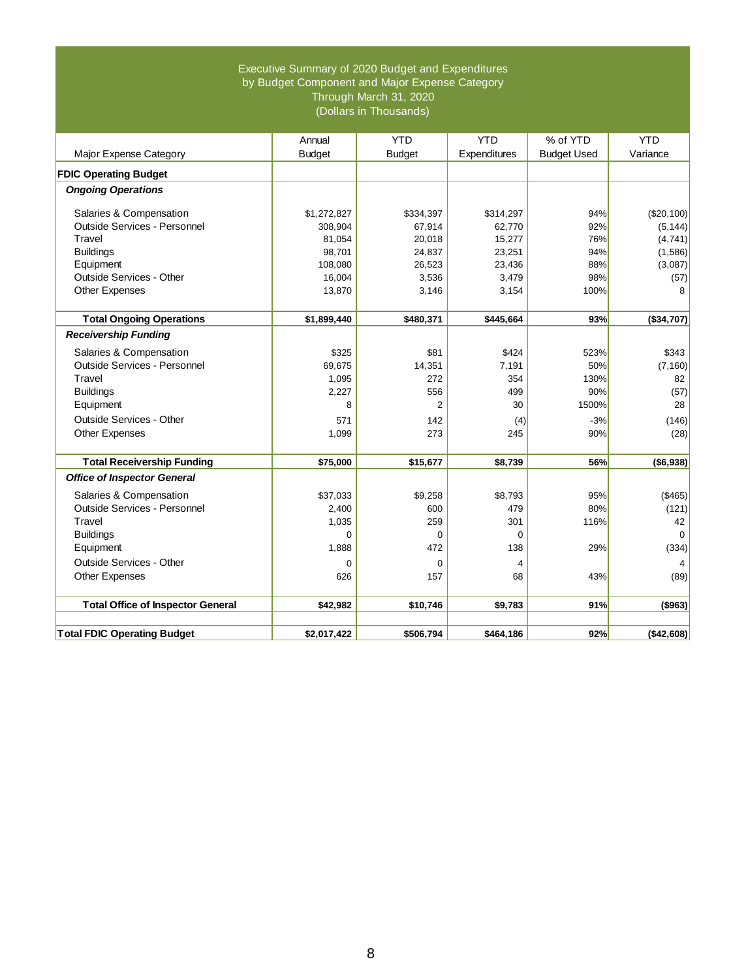#### Executive Summary of 2020 Budget and Expenditures by Budget Component and Major Expense Category Through March 31, 2020 (Dollars in Thousands)

|                                          | Annual        | <b>YTD</b>    | <b>YTD</b>   | % of YTD           | <b>YTD</b>               |
|------------------------------------------|---------------|---------------|--------------|--------------------|--------------------------|
| Major Expense Category                   | <b>Budget</b> | <b>Budget</b> | Expenditures | <b>Budget Used</b> | Variance                 |
| <b>FDIC Operating Budget</b>             |               |               |              |                    |                          |
| <b>Ongoing Operations</b>                |               |               |              |                    |                          |
| Salaries & Compensation                  | \$1,272,827   | \$334,397     | \$314,297    | 94%                | (\$20,100)               |
| Outside Services - Personnel             | 308,904       | 67,914        | 62.770       | 92%                | (5, 144)                 |
| Travel                                   | 81,054        | 20,018        | 15,277       | 76%                | (4,741)                  |
| <b>Buildings</b>                         | 98,701        | 24,837        | 23,251       | 94%                | (1,586)                  |
| Equipment                                | 108,080       | 26,523        | 23,436       | 88%                | (3,087)                  |
| Outside Services - Other                 | 16,004        | 3,536         | 3,479        | 98%                | (57)                     |
| <b>Other Expenses</b>                    | 13,870        | 3,146         | 3,154        | 100%               | 8                        |
|                                          |               |               |              |                    |                          |
| <b>Total Ongoing Operations</b>          | \$1,899,440   | \$480,371     | \$445,664    | 93%                | (\$34,707)               |
| <b>Receivership Funding</b>              |               |               |              |                    |                          |
| Salaries & Compensation                  | \$325         | \$81          | \$424        | 523%               | \$343                    |
| Outside Services - Personnel             | 69,675        | 14,351        | 7,191        | 50%                | (7, 160)                 |
| Travel                                   | 1,095         | 272           | 354          | 130%               | 82                       |
| <b>Buildings</b>                         | 2,227         | 556           | 499          | 90%                | (57)                     |
| Equipment                                | 8             | 2             | 30           | 1500%              | 28                       |
| Outside Services - Other                 | 571           | 142           | (4)          | $-3%$              | (146)                    |
| <b>Other Expenses</b>                    | 1.099         | 273           | 245          | 90%                | (28)                     |
|                                          |               |               |              |                    |                          |
| <b>Total Receivership Funding</b>        | \$75,000      | \$15,677      | \$8,739      | 56%                | ( \$6, 938)              |
| <b>Office of Inspector General</b>       |               |               |              |                    |                          |
| Salaries & Compensation                  | \$37.033      | \$9.258       | \$8.793      | 95%                | (\$465)                  |
| Outside Services - Personnel             | 2,400         | 600           | 479          | 80%                | (121)                    |
| Travel                                   | 1,035         | 259           | 301          | 116%               | 42                       |
| <b>Buildings</b>                         | $\Omega$      | $\Omega$      | $\Omega$     |                    | $\Omega$                 |
| Equipment                                | 1,888         | 472           | 138          | 29%                | (334)                    |
| Outside Services - Other                 | 0             | $\mathbf 0$   | 4            |                    | $\overline{\mathcal{A}}$ |
| Other Expenses                           | 626           | 157           | 68           | 43%                | (89)                     |
|                                          |               |               |              |                    |                          |
| <b>Total Office of Inspector General</b> | \$42,982      | \$10,746      | \$9,783      | 91%                | ( \$963)                 |
|                                          |               |               |              |                    |                          |
| <b>Total FDIC Operating Budget</b>       | \$2,017,422   | \$506,794     | \$464,186    | 92%                | (\$42,608)               |